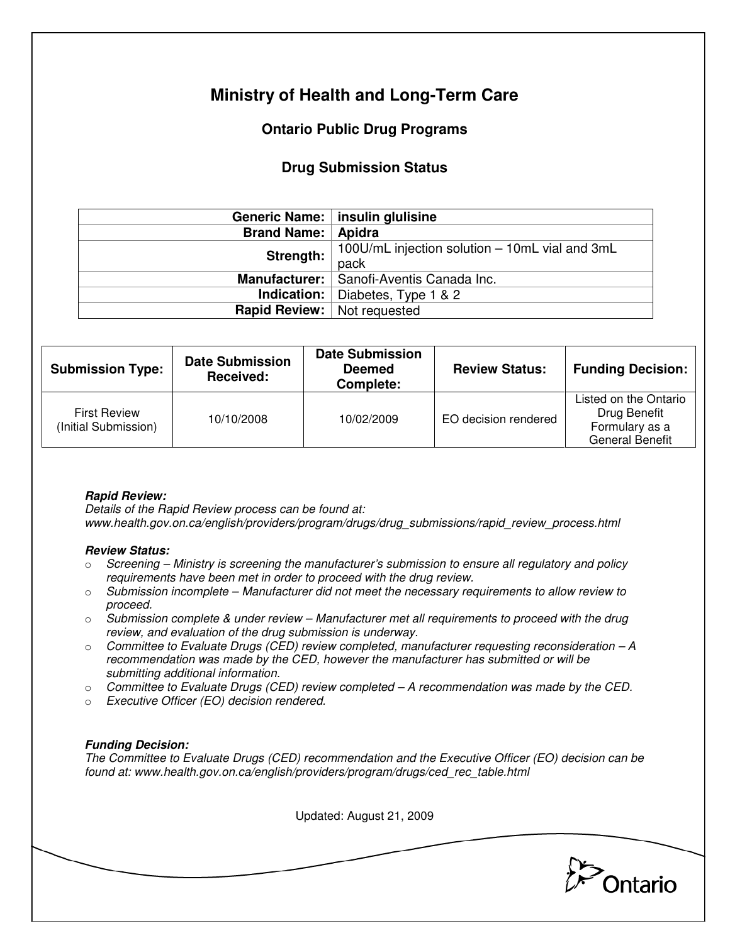# **Ministry of Health and Long-Term Care**

## **Ontario Public Drug Programs**

### **Drug Submission Status**

|                                      | Generic Name:   insulin glulisine              |  |
|--------------------------------------|------------------------------------------------|--|
| <b>Brand Name: Apidra</b>            |                                                |  |
| Strength:                            | 100U/mL injection solution - 10mL vial and 3mL |  |
|                                      | pack                                           |  |
|                                      | Manufacturer:   Sanofi-Aventis Canada Inc.     |  |
|                                      | <b>Indication:</b> Diabetes, Type 1 $\&$ 2     |  |
| <b>Rapid Review:</b>   Not requested |                                                |  |

| <b>Submission Type:</b>                     | <b>Date Submission</b><br>Received: | <b>Date Submission</b><br><b>Deemed</b><br>Complete: | <b>Review Status:</b> | <b>Funding Decision:</b>                                                          |
|---------------------------------------------|-------------------------------------|------------------------------------------------------|-----------------------|-----------------------------------------------------------------------------------|
| <b>First Review</b><br>(Initial Submission) | 10/10/2008                          | 10/02/2009                                           | EO decision rendered  | Listed on the Ontario<br>Drug Benefit<br>Formulary as a<br><b>General Benefit</b> |

### **Rapid Review:**

Details of the Rapid Review process can be found at: www.health.gov.on.ca/english/providers/program/drugs/drug\_submissions/rapid\_review\_process.html

#### **Review Status:**

- $\circ$  Screening Ministry is screening the manufacturer's submission to ensure all regulatory and policy requirements have been met in order to proceed with the drug review.
- $\circ$  Submission incomplete Manufacturer did not meet the necessary requirements to allow review to proceed.
- $\circ$  Submission complete & under review Manufacturer met all requirements to proceed with the drug review, and evaluation of the drug submission is underway.
- $\circ$  Committee to Evaluate Drugs (CED) review completed, manufacturer requesting reconsideration  $-A$ recommendation was made by the CED, however the manufacturer has submitted or will be submitting additional information.
- $\circ$  Committee to Evaluate Drugs (CED) review completed A recommendation was made by the CED.
- o Executive Officer (EO) decision rendered.

### **Funding Decision:**

The Committee to Evaluate Drugs (CED) recommendation and the Executive Officer (EO) decision can be found at: www.health.gov.on.ca/english/providers/program/drugs/ced\_rec\_table.html

Updated: August 21, 2009